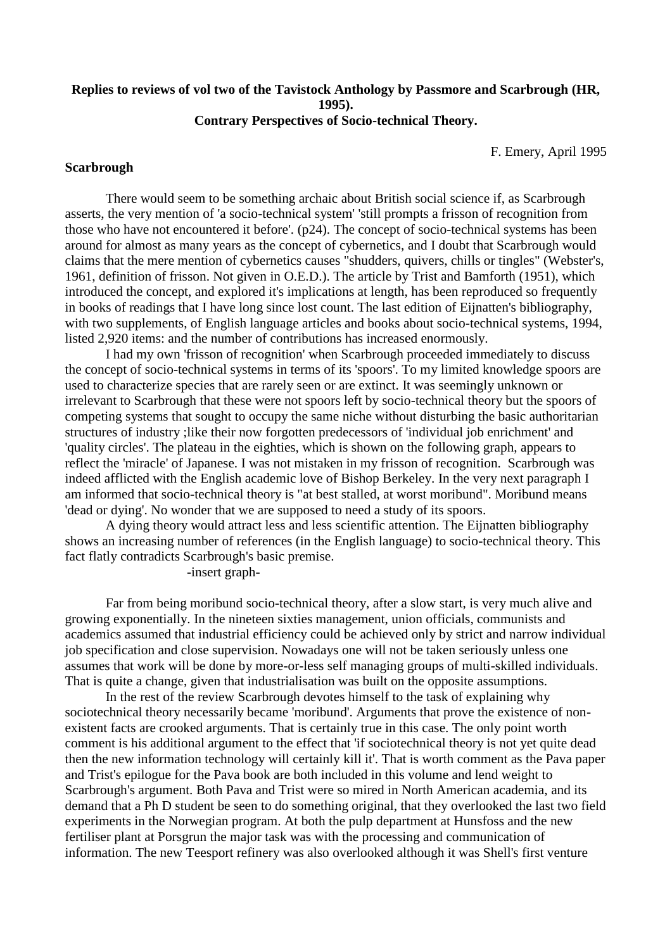# **Replies to reviews of vol two of the Tavistock Anthology by Passmore and Scarbrough (HR, 1995). Contrary Perspectives of Socio-technical Theory.**

F. Emery, April 1995

## **Scarbrough**

There would seem to be something archaic about British social science if, as Scarbrough asserts, the very mention of 'a socio-technical system' 'still prompts a frisson of recognition from those who have not encountered it before'. (p24). The concept of socio-technical systems has been around for almost as many years as the concept of cybernetics, and I doubt that Scarbrough would claims that the mere mention of cybernetics causes "shudders, quivers, chills or tingles" (Webster's, 1961, definition of frisson. Not given in O.E.D.). The article by Trist and Bamforth (1951), which introduced the concept, and explored it's implications at length, has been reproduced so frequently in books of readings that I have long since lost count. The last edition of Eijnatten's bibliography, with two supplements, of English language articles and books about socio-technical systems, 1994, listed 2,920 items: and the number of contributions has increased enormously.

I had my own 'frisson of recognition' when Scarbrough proceeded immediately to discuss the concept of socio-technical systems in terms of its 'spoors'. To my limited knowledge spoors are used to characterize species that are rarely seen or are extinct. It was seemingly unknown or irrelevant to Scarbrough that these were not spoors left by socio-technical theory but the spoors of competing systems that sought to occupy the same niche without disturbing the basic authoritarian structures of industry ;like their now forgotten predecessors of 'individual job enrichment' and 'quality circles'. The plateau in the eighties, which is shown on the following graph, appears to reflect the 'miracle' of Japanese. I was not mistaken in my frisson of recognition. Scarbrough was indeed afflicted with the English academic love of Bishop Berkeley. In the very next paragraph I am informed that socio-technical theory is "at best stalled, at worst moribund". Moribund means 'dead or dying'. No wonder that we are supposed to need a study of its spoors.

A dying theory would attract less and less scientific attention. The Eijnatten bibliography shows an increasing number of references (in the English language) to socio-technical theory. This fact flatly contradicts Scarbrough's basic premise.

-insert graph-

Far from being moribund socio-technical theory, after a slow start, is very much alive and growing exponentially. In the nineteen sixties management, union officials, communists and academics assumed that industrial efficiency could be achieved only by strict and narrow individual job specification and close supervision. Nowadays one will not be taken seriously unless one assumes that work will be done by more-or-less self managing groups of multi-skilled individuals. That is quite a change, given that industrialisation was built on the opposite assumptions.

In the rest of the review Scarbrough devotes himself to the task of explaining why sociotechnical theory necessarily became 'moribund'. Arguments that prove the existence of nonexistent facts are crooked arguments. That is certainly true in this case. The only point worth comment is his additional argument to the effect that 'if sociotechnical theory is not yet quite dead then the new information technology will certainly kill it'. That is worth comment as the Pava paper and Trist's epilogue for the Pava book are both included in this volume and lend weight to Scarbrough's argument. Both Pava and Trist were so mired in North American academia, and its demand that a Ph D student be seen to do something original, that they overlooked the last two field experiments in the Norwegian program. At both the pulp department at Hunsfoss and the new fertiliser plant at Porsgrun the major task was with the processing and communication of information. The new Teesport refinery was also overlooked although it was Shell's first venture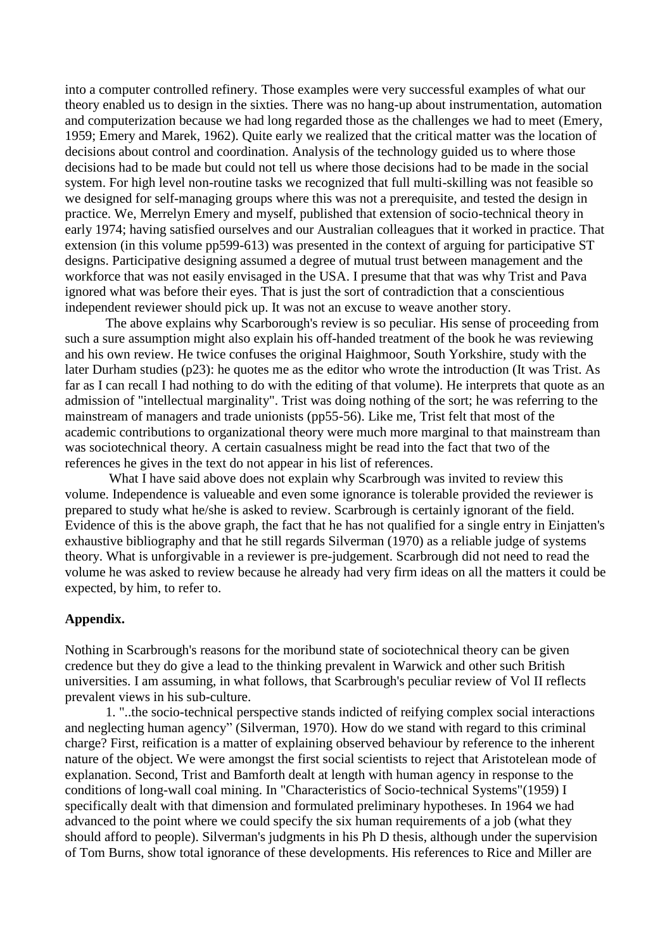into a computer controlled refinery. Those examples were very successful examples of what our theory enabled us to design in the sixties. There was no hang-up about instrumentation, automation and computerization because we had long regarded those as the challenges we had to meet (Emery, 1959; Emery and Marek, 1962). Quite early we realized that the critical matter was the location of decisions about control and coordination. Analysis of the technology guided us to where those decisions had to be made but could not tell us where those decisions had to be made in the social system. For high level non-routine tasks we recognized that full multi-skilling was not feasible so we designed for self-managing groups where this was not a prerequisite, and tested the design in practice. We, Merrelyn Emery and myself, published that extension of socio-technical theory in early 1974; having satisfied ourselves and our Australian colleagues that it worked in practice. That extension (in this volume pp599-613) was presented in the context of arguing for participative ST designs. Participative designing assumed a degree of mutual trust between management and the workforce that was not easily envisaged in the USA. I presume that that was why Trist and Pava ignored what was before their eyes. That is just the sort of contradiction that a conscientious independent reviewer should pick up. It was not an excuse to weave another story.

The above explains why Scarborough's review is so peculiar. His sense of proceeding from such a sure assumption might also explain his off-handed treatment of the book he was reviewing and his own review. He twice confuses the original Haighmoor, South Yorkshire, study with the later Durham studies (p23): he quotes me as the editor who wrote the introduction (It was Trist. As far as I can recall I had nothing to do with the editing of that volume). He interprets that quote as an admission of "intellectual marginality". Trist was doing nothing of the sort; he was referring to the mainstream of managers and trade unionists (pp55-56). Like me, Trist felt that most of the academic contributions to organizational theory were much more marginal to that mainstream than was sociotechnical theory. A certain casualness might be read into the fact that two of the references he gives in the text do not appear in his list of references.

What I have said above does not explain why Scarbrough was invited to review this volume. Independence is valueable and even some ignorance is tolerable provided the reviewer is prepared to study what he/she is asked to review. Scarbrough is certainly ignorant of the field. Evidence of this is the above graph, the fact that he has not qualified for a single entry in Einjatten's exhaustive bibliography and that he still regards Silverman (1970) as a reliable judge of systems theory. What is unforgivable in a reviewer is pre-judgement. Scarbrough did not need to read the volume he was asked to review because he already had very firm ideas on all the matters it could be expected, by him, to refer to.

### **Appendix.**

Nothing in Scarbrough's reasons for the moribund state of sociotechnical theory can be given credence but they do give a lead to the thinking prevalent in Warwick and other such British universities. I am assuming, in what follows, that Scarbrough's peculiar review of Vol II reflects prevalent views in his sub-culture.

1. "..the socio-technical perspective stands indicted of reifying complex social interactions and neglecting human agency" (Silverman, 1970). How do we stand with regard to this criminal charge? First, reification is a matter of explaining observed behaviour by reference to the inherent nature of the object. We were amongst the first social scientists to reject that Aristotelean mode of explanation. Second, Trist and Bamforth dealt at length with human agency in response to the conditions of long-wall coal mining. In "Characteristics of Socio-technical Systems"(1959) I specifically dealt with that dimension and formulated preliminary hypotheses. In 1964 we had advanced to the point where we could specify the six human requirements of a job (what they should afford to people). Silverman's judgments in his Ph D thesis, although under the supervision of Tom Burns, show total ignorance of these developments. His references to Rice and Miller are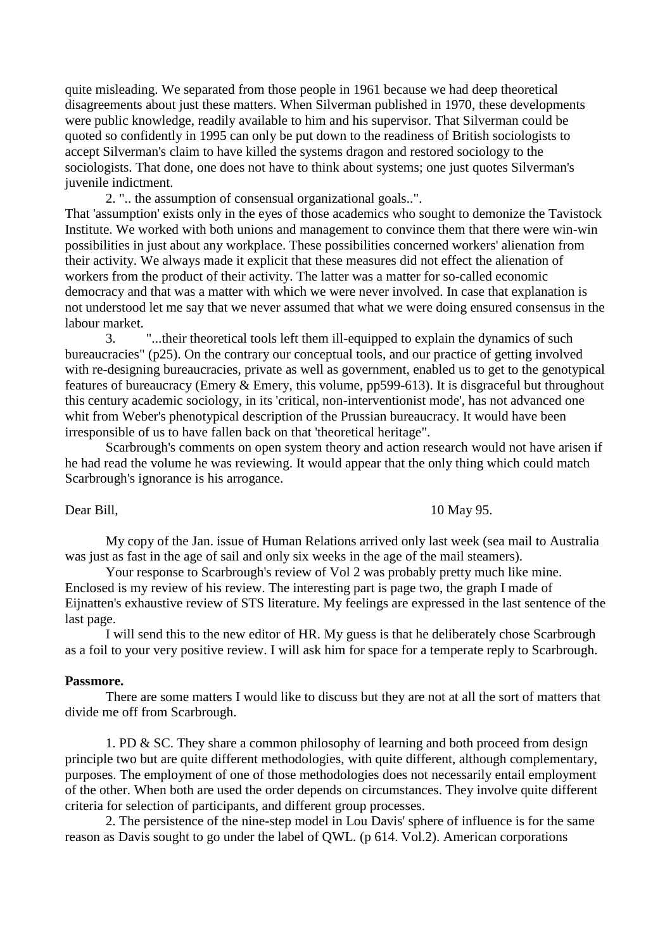quite misleading. We separated from those people in 1961 because we had deep theoretical disagreements about just these matters. When Silverman published in 1970, these developments were public knowledge, readily available to him and his supervisor. That Silverman could be quoted so confidently in 1995 can only be put down to the readiness of British sociologists to accept Silverman's claim to have killed the systems dragon and restored sociology to the sociologists. That done, one does not have to think about systems; one just quotes Silverman's juvenile indictment.

2. ".. the assumption of consensual organizational goals..".

That 'assumption' exists only in the eyes of those academics who sought to demonize the Tavistock Institute. We worked with both unions and management to convince them that there were win-win possibilities in just about any workplace. These possibilities concerned workers' alienation from their activity. We always made it explicit that these measures did not effect the alienation of workers from the product of their activity. The latter was a matter for so-called economic democracy and that was a matter with which we were never involved. In case that explanation is not understood let me say that we never assumed that what we were doing ensured consensus in the labour market.

3. "...their theoretical tools left them ill-equipped to explain the dynamics of such bureaucracies" (p25). On the contrary our conceptual tools, and our practice of getting involved with re-designing bureaucracies, private as well as government, enabled us to get to the genotypical features of bureaucracy (Emery & Emery, this volume, pp599-613). It is disgraceful but throughout this century academic sociology, in its 'critical, non-interventionist mode', has not advanced one whit from Weber's phenotypical description of the Prussian bureaucracy. It would have been irresponsible of us to have fallen back on that 'theoretical heritage".

Scarbrough's comments on open system theory and action research would not have arisen if he had read the volume he was reviewing. It would appear that the only thing which could match Scarbrough's ignorance is his arrogance.

Dear Bill, 10 May 95.

My copy of the Jan. issue of Human Relations arrived only last week (sea mail to Australia was just as fast in the age of sail and only six weeks in the age of the mail steamers).

Your response to Scarbrough's review of Vol 2 was probably pretty much like mine. Enclosed is my review of his review. The interesting part is page two, the graph I made of Eijnatten's exhaustive review of STS literature. My feelings are expressed in the last sentence of the last page.

I will send this to the new editor of HR. My guess is that he deliberately chose Scarbrough as a foil to your very positive review. I will ask him for space for a temperate reply to Scarbrough.

### **Passmore.**

There are some matters I would like to discuss but they are not at all the sort of matters that divide me off from Scarbrough.

1. PD & SC. They share a common philosophy of learning and both proceed from design principle two but are quite different methodologies, with quite different, although complementary, purposes. The employment of one of those methodologies does not necessarily entail employment of the other. When both are used the order depends on circumstances. They involve quite different criteria for selection of participants, and different group processes.

2. The persistence of the nine-step model in Lou Davis' sphere of influence is for the same reason as Davis sought to go under the label of QWL. (p 614. Vol.2). American corporations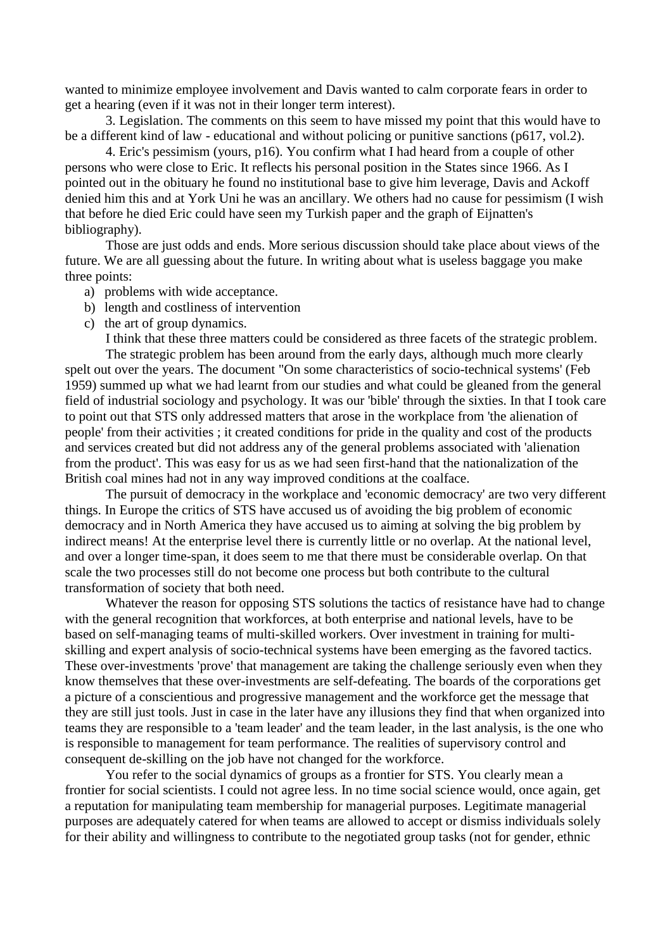wanted to minimize employee involvement and Davis wanted to calm corporate fears in order to get a hearing (even if it was not in their longer term interest).

3. Legislation. The comments on this seem to have missed my point that this would have to be a different kind of law - educational and without policing or punitive sanctions (p617, vol.2).

4. Eric's pessimism (yours, p16). You confirm what I had heard from a couple of other persons who were close to Eric. It reflects his personal position in the States since 1966. As I pointed out in the obituary he found no institutional base to give him leverage, Davis and Ackoff denied him this and at York Uni he was an ancillary. We others had no cause for pessimism (I wish that before he died Eric could have seen my Turkish paper and the graph of Eijnatten's bibliography).

Those are just odds and ends. More serious discussion should take place about views of the future. We are all guessing about the future. In writing about what is useless baggage you make three points:

- a) problems with wide acceptance.
- b) length and costliness of intervention
- c) the art of group dynamics.

I think that these three matters could be considered as three facets of the strategic problem. The strategic problem has been around from the early days, although much more clearly

spelt out over the years. The document "On some characteristics of socio-technical systems' (Feb 1959) summed up what we had learnt from our studies and what could be gleaned from the general field of industrial sociology and psychology. It was our 'bible' through the sixties. In that I took care to point out that STS only addressed matters that arose in the workplace from 'the alienation of people' from their activities ; it created conditions for pride in the quality and cost of the products and services created but did not address any of the general problems associated with 'alienation from the product'. This was easy for us as we had seen first-hand that the nationalization of the British coal mines had not in any way improved conditions at the coalface.

The pursuit of democracy in the workplace and 'economic democracy' are two very different things. In Europe the critics of STS have accused us of avoiding the big problem of economic democracy and in North America they have accused us to aiming at solving the big problem by indirect means! At the enterprise level there is currently little or no overlap. At the national level, and over a longer time-span, it does seem to me that there must be considerable overlap. On that scale the two processes still do not become one process but both contribute to the cultural transformation of society that both need.

Whatever the reason for opposing STS solutions the tactics of resistance have had to change with the general recognition that workforces, at both enterprise and national levels, have to be based on self-managing teams of multi-skilled workers. Over investment in training for multiskilling and expert analysis of socio-technical systems have been emerging as the favored tactics. These over-investments 'prove' that management are taking the challenge seriously even when they know themselves that these over-investments are self-defeating. The boards of the corporations get a picture of a conscientious and progressive management and the workforce get the message that they are still just tools. Just in case in the later have any illusions they find that when organized into teams they are responsible to a 'team leader' and the team leader, in the last analysis, is the one who is responsible to management for team performance. The realities of supervisory control and consequent de-skilling on the job have not changed for the workforce.

You refer to the social dynamics of groups as a frontier for STS. You clearly mean a frontier for social scientists. I could not agree less. In no time social science would, once again, get a reputation for manipulating team membership for managerial purposes. Legitimate managerial purposes are adequately catered for when teams are allowed to accept or dismiss individuals solely for their ability and willingness to contribute to the negotiated group tasks (not for gender, ethnic